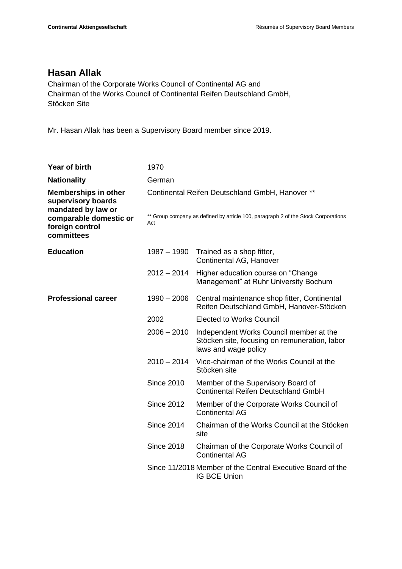## **Hasan Allak**

Chairman of the Corporate Works Council of Continental AG and Chairman of the Works Council of Continental Reifen Deutschland GmbH, Stöcken Site

Mr. Hasan Allak has been a Supervisory Board member since 2019.

| Year of birth                                                           | 1970                                                                                     |                                                                                                                  |
|-------------------------------------------------------------------------|------------------------------------------------------------------------------------------|------------------------------------------------------------------------------------------------------------------|
| <b>Nationality</b>                                                      | German                                                                                   |                                                                                                                  |
| <b>Memberships in other</b><br>supervisory boards<br>mandated by law or | Continental Reifen Deutschland GmbH, Hanover **                                          |                                                                                                                  |
| comparable domestic or<br>foreign control<br>committees                 | ** Group company as defined by article 100, paragraph 2 of the Stock Corporations<br>Act |                                                                                                                  |
| <b>Education</b>                                                        | $1987 - 1990$                                                                            | Trained as a shop fitter,<br>Continental AG, Hanover                                                             |
|                                                                         | $2012 - 2014$                                                                            | Higher education course on "Change<br>Management" at Ruhr University Bochum                                      |
| <b>Professional career</b>                                              | $1990 - 2006$                                                                            | Central maintenance shop fitter, Continental<br>Reifen Deutschland GmbH, Hanover-Stöcken                         |
|                                                                         | 2002                                                                                     | <b>Elected to Works Council</b>                                                                                  |
|                                                                         | $2006 - 2010$                                                                            | Independent Works Council member at the<br>Stöcken site, focusing on remuneration, labor<br>laws and wage policy |
|                                                                         | $2010 - 2014$                                                                            | Vice-chairman of the Works Council at the<br>Stöcken site                                                        |
|                                                                         | <b>Since 2010</b>                                                                        | Member of the Supervisory Board of<br><b>Continental Reifen Deutschland GmbH</b>                                 |
|                                                                         | <b>Since 2012</b>                                                                        | Member of the Corporate Works Council of<br><b>Continental AG</b>                                                |
|                                                                         | <b>Since 2014</b>                                                                        | Chairman of the Works Council at the Stöcken<br>site                                                             |
|                                                                         | <b>Since 2018</b>                                                                        | Chairman of the Corporate Works Council of<br><b>Continental AG</b>                                              |
|                                                                         |                                                                                          | Since 11/2018 Member of the Central Executive Board of the<br><b>IG BCE Union</b>                                |